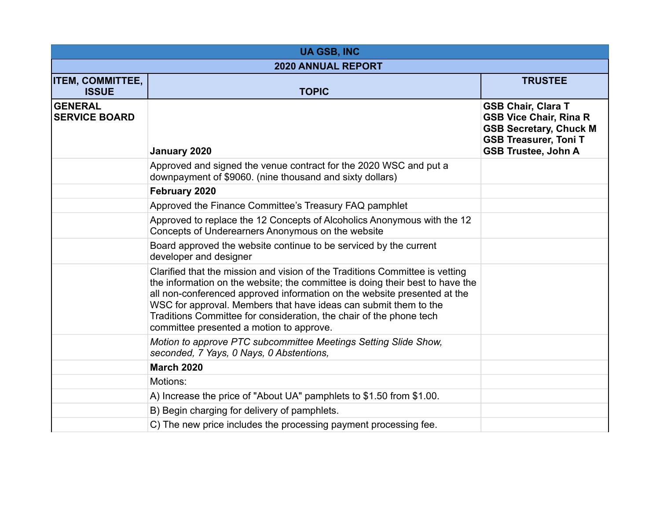| <b>UA GSB, INC</b>                      |                                                                                                                                                                                                                                                                                                                                                                                                                                  |                                                                                                                                                           |
|-----------------------------------------|----------------------------------------------------------------------------------------------------------------------------------------------------------------------------------------------------------------------------------------------------------------------------------------------------------------------------------------------------------------------------------------------------------------------------------|-----------------------------------------------------------------------------------------------------------------------------------------------------------|
| <b>2020 ANNUAL REPORT</b>               |                                                                                                                                                                                                                                                                                                                                                                                                                                  |                                                                                                                                                           |
| <b>ITEM, COMMITTEE,</b><br><b>ISSUE</b> | <b>TOPIC</b>                                                                                                                                                                                                                                                                                                                                                                                                                     | <b>TRUSTEE</b>                                                                                                                                            |
| <b>GENERAL</b><br><b>SERVICE BOARD</b>  | January 2020                                                                                                                                                                                                                                                                                                                                                                                                                     | <b>GSB Chair, Clara T</b><br><b>GSB Vice Chair, Rina R</b><br><b>GSB Secretary, Chuck M</b><br><b>GSB Treasurer, Toni T</b><br><b>GSB Trustee, John A</b> |
|                                         | Approved and signed the venue contract for the 2020 WSC and put a<br>downpayment of \$9060. (nine thousand and sixty dollars)                                                                                                                                                                                                                                                                                                    |                                                                                                                                                           |
|                                         | February 2020                                                                                                                                                                                                                                                                                                                                                                                                                    |                                                                                                                                                           |
|                                         | Approved the Finance Committee's Treasury FAQ pamphlet                                                                                                                                                                                                                                                                                                                                                                           |                                                                                                                                                           |
|                                         | Approved to replace the 12 Concepts of Alcoholics Anonymous with the 12<br>Concepts of Underearners Anonymous on the website                                                                                                                                                                                                                                                                                                     |                                                                                                                                                           |
|                                         | Board approved the website continue to be serviced by the current<br>developer and designer                                                                                                                                                                                                                                                                                                                                      |                                                                                                                                                           |
|                                         | Clarified that the mission and vision of the Traditions Committee is vetting<br>the information on the website; the committee is doing their best to have the<br>all non-conferenced approved information on the website presented at the<br>WSC for approval. Members that have ideas can submit them to the<br>Traditions Committee for consideration, the chair of the phone tech<br>committee presented a motion to approve. |                                                                                                                                                           |
|                                         | Motion to approve PTC subcommittee Meetings Setting Slide Show,<br>seconded, 7 Yays, 0 Nays, 0 Abstentions,                                                                                                                                                                                                                                                                                                                      |                                                                                                                                                           |
|                                         | <b>March 2020</b>                                                                                                                                                                                                                                                                                                                                                                                                                |                                                                                                                                                           |
|                                         | Motions:                                                                                                                                                                                                                                                                                                                                                                                                                         |                                                                                                                                                           |
|                                         | A) Increase the price of "About UA" pamphlets to \$1.50 from \$1.00.                                                                                                                                                                                                                                                                                                                                                             |                                                                                                                                                           |
|                                         | B) Begin charging for delivery of pamphlets.                                                                                                                                                                                                                                                                                                                                                                                     |                                                                                                                                                           |
|                                         | C) The new price includes the processing payment processing fee.                                                                                                                                                                                                                                                                                                                                                                 |                                                                                                                                                           |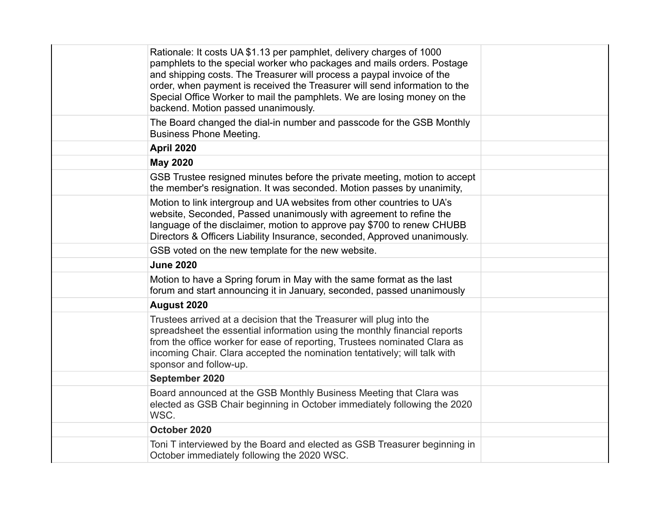| Rationale: It costs UA \$1.13 per pamphlet, delivery charges of 1000<br>pamphlets to the special worker who packages and mails orders. Postage<br>and shipping costs. The Treasurer will process a paypal invoice of the<br>order, when payment is received the Treasurer will send information to the<br>Special Office Worker to mail the pamphlets. We are losing money on the<br>backend. Motion passed unanimously. |  |
|--------------------------------------------------------------------------------------------------------------------------------------------------------------------------------------------------------------------------------------------------------------------------------------------------------------------------------------------------------------------------------------------------------------------------|--|
| The Board changed the dial-in number and passcode for the GSB Monthly<br><b>Business Phone Meeting.</b>                                                                                                                                                                                                                                                                                                                  |  |
| <b>April 2020</b>                                                                                                                                                                                                                                                                                                                                                                                                        |  |
| <b>May 2020</b>                                                                                                                                                                                                                                                                                                                                                                                                          |  |
| GSB Trustee resigned minutes before the private meeting, motion to accept<br>the member's resignation. It was seconded. Motion passes by unanimity,                                                                                                                                                                                                                                                                      |  |
| Motion to link intergroup and UA websites from other countries to UA's<br>website, Seconded, Passed unanimously with agreement to refine the<br>language of the disclaimer, motion to approve pay \$700 to renew CHUBB<br>Directors & Officers Liability Insurance, seconded, Approved unanimously.                                                                                                                      |  |
| GSB voted on the new template for the new website.                                                                                                                                                                                                                                                                                                                                                                       |  |
| <b>June 2020</b>                                                                                                                                                                                                                                                                                                                                                                                                         |  |
| Motion to have a Spring forum in May with the same format as the last<br>forum and start announcing it in January, seconded, passed unanimously                                                                                                                                                                                                                                                                          |  |
| August 2020                                                                                                                                                                                                                                                                                                                                                                                                              |  |
| Trustees arrived at a decision that the Treasurer will plug into the<br>spreadsheet the essential information using the monthly financial reports<br>from the office worker for ease of reporting, Trustees nominated Clara as<br>incoming Chair. Clara accepted the nomination tentatively; will talk with<br>sponsor and follow-up.                                                                                    |  |
| September 2020                                                                                                                                                                                                                                                                                                                                                                                                           |  |
| Board announced at the GSB Monthly Business Meeting that Clara was<br>elected as GSB Chair beginning in October immediately following the 2020<br>WSC.                                                                                                                                                                                                                                                                   |  |
| October 2020                                                                                                                                                                                                                                                                                                                                                                                                             |  |
| Toni T interviewed by the Board and elected as GSB Treasurer beginning in<br>October immediately following the 2020 WSC.                                                                                                                                                                                                                                                                                                 |  |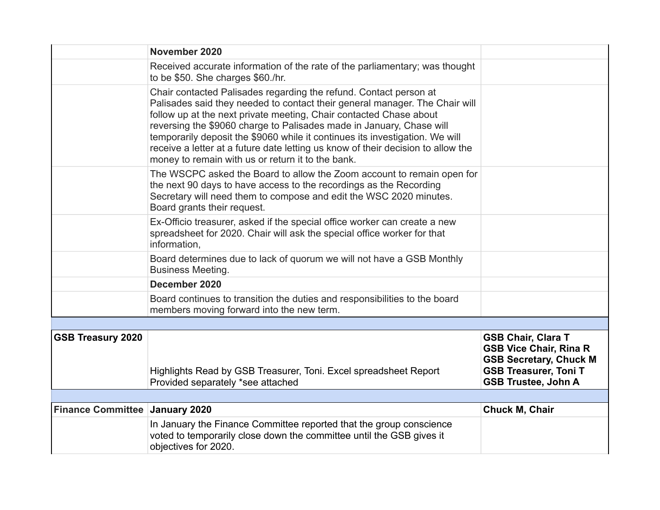|                                       | November 2020                                                                                                                                                                                                                                                                                                                                                                                                                                                                                                           |                                                                                                                                                           |
|---------------------------------------|-------------------------------------------------------------------------------------------------------------------------------------------------------------------------------------------------------------------------------------------------------------------------------------------------------------------------------------------------------------------------------------------------------------------------------------------------------------------------------------------------------------------------|-----------------------------------------------------------------------------------------------------------------------------------------------------------|
|                                       | Received accurate information of the rate of the parliamentary; was thought<br>to be \$50. She charges \$60./hr.                                                                                                                                                                                                                                                                                                                                                                                                        |                                                                                                                                                           |
|                                       | Chair contacted Palisades regarding the refund. Contact person at<br>Palisades said they needed to contact their general manager. The Chair will<br>follow up at the next private meeting, Chair contacted Chase about<br>reversing the \$9060 charge to Palisades made in January, Chase will<br>temporarily deposit the \$9060 while it continues its investigation. We will<br>receive a letter at a future date letting us know of their decision to allow the<br>money to remain with us or return it to the bank. |                                                                                                                                                           |
|                                       | The WSCPC asked the Board to allow the Zoom account to remain open for<br>the next 90 days to have access to the recordings as the Recording<br>Secretary will need them to compose and edit the WSC 2020 minutes.<br>Board grants their request.                                                                                                                                                                                                                                                                       |                                                                                                                                                           |
|                                       | Ex-Officio treasurer, asked if the special office worker can create a new<br>spreadsheet for 2020. Chair will ask the special office worker for that<br>information.                                                                                                                                                                                                                                                                                                                                                    |                                                                                                                                                           |
|                                       | Board determines due to lack of quorum we will not have a GSB Monthly<br><b>Business Meeting.</b>                                                                                                                                                                                                                                                                                                                                                                                                                       |                                                                                                                                                           |
|                                       | December 2020                                                                                                                                                                                                                                                                                                                                                                                                                                                                                                           |                                                                                                                                                           |
|                                       | Board continues to transition the duties and responsibilities to the board<br>members moving forward into the new term.                                                                                                                                                                                                                                                                                                                                                                                                 |                                                                                                                                                           |
|                                       |                                                                                                                                                                                                                                                                                                                                                                                                                                                                                                                         |                                                                                                                                                           |
| <b>GSB Treasury 2020</b>              | Highlights Read by GSB Treasurer, Toni. Excel spreadsheet Report<br>Provided separately *see attached                                                                                                                                                                                                                                                                                                                                                                                                                   | <b>GSB Chair, Clara T</b><br><b>GSB Vice Chair, Rina R</b><br><b>GSB Secretary, Chuck M</b><br><b>GSB Treasurer, Toni T</b><br><b>GSB Trustee, John A</b> |
|                                       |                                                                                                                                                                                                                                                                                                                                                                                                                                                                                                                         |                                                                                                                                                           |
| <b>Finance Committee January 2020</b> |                                                                                                                                                                                                                                                                                                                                                                                                                                                                                                                         | Chuck M, Chair                                                                                                                                            |
|                                       | In January the Finance Committee reported that the group conscience<br>voted to temporarily close down the committee until the GSB gives it<br>objectives for 2020.                                                                                                                                                                                                                                                                                                                                                     |                                                                                                                                                           |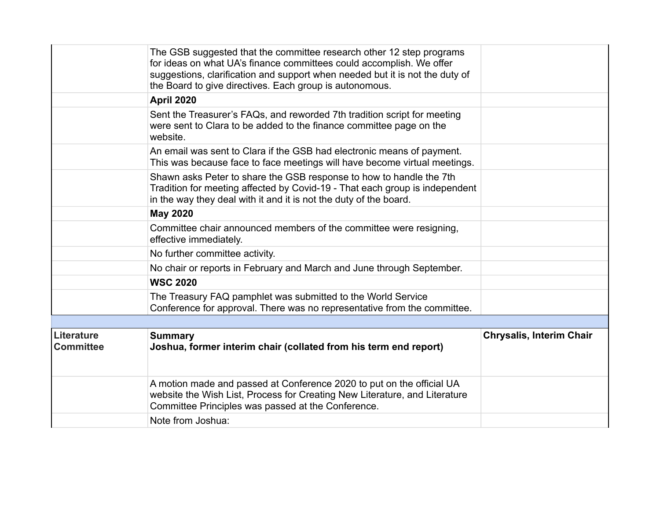|                                       | The GSB suggested that the committee research other 12 step programs<br>for ideas on what UA's finance committees could accomplish. We offer<br>suggestions, clarification and support when needed but it is not the duty of<br>the Board to give directives. Each group is autonomous. |                                 |
|---------------------------------------|-----------------------------------------------------------------------------------------------------------------------------------------------------------------------------------------------------------------------------------------------------------------------------------------|---------------------------------|
|                                       | <b>April 2020</b>                                                                                                                                                                                                                                                                       |                                 |
|                                       | Sent the Treasurer's FAQs, and reworded 7th tradition script for meeting<br>were sent to Clara to be added to the finance committee page on the<br>website.                                                                                                                             |                                 |
|                                       | An email was sent to Clara if the GSB had electronic means of payment.<br>This was because face to face meetings will have become virtual meetings.                                                                                                                                     |                                 |
|                                       | Shawn asks Peter to share the GSB response to how to handle the 7th<br>Tradition for meeting affected by Covid-19 - That each group is independent<br>in the way they deal with it and it is not the duty of the board.                                                                 |                                 |
|                                       | <b>May 2020</b>                                                                                                                                                                                                                                                                         |                                 |
|                                       | Committee chair announced members of the committee were resigning,<br>effective immediately.                                                                                                                                                                                            |                                 |
|                                       | No further committee activity.                                                                                                                                                                                                                                                          |                                 |
|                                       | No chair or reports in February and March and June through September.                                                                                                                                                                                                                   |                                 |
|                                       | <b>WSC 2020</b>                                                                                                                                                                                                                                                                         |                                 |
|                                       | The Treasury FAQ pamphlet was submitted to the World Service<br>Conference for approval. There was no representative from the committee.                                                                                                                                                |                                 |
|                                       |                                                                                                                                                                                                                                                                                         |                                 |
| <b>Literature</b><br><b>Committee</b> | <b>Summary</b><br>Joshua, former interim chair (collated from his term end report)                                                                                                                                                                                                      | <b>Chrysalis, Interim Chair</b> |
|                                       | A motion made and passed at Conference 2020 to put on the official UA<br>website the Wish List, Process for Creating New Literature, and Literature<br>Committee Principles was passed at the Conference.                                                                               |                                 |
|                                       | Note from Joshua:                                                                                                                                                                                                                                                                       |                                 |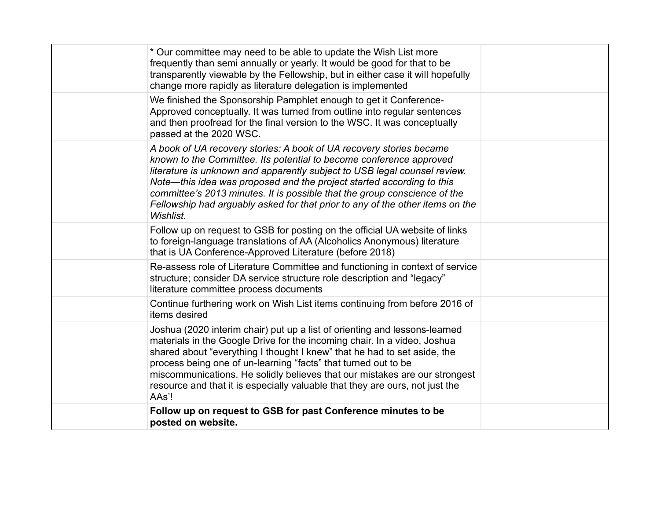| * Our committee may need to be able to update the Wish List more<br>frequently than semi annually or yearly. It would be good for that to be<br>transparently viewable by the Fellowship, but in either case it will hopefully<br>change more rapidly as literature delegation is implemented                                                                                                                                                                               |  |
|-----------------------------------------------------------------------------------------------------------------------------------------------------------------------------------------------------------------------------------------------------------------------------------------------------------------------------------------------------------------------------------------------------------------------------------------------------------------------------|--|
| We finished the Sponsorship Pamphlet enough to get it Conference-<br>Approved conceptually. It was turned from outline into regular sentences<br>and then proofread for the final version to the WSC. It was conceptually<br>passed at the 2020 WSC.                                                                                                                                                                                                                        |  |
| A book of UA recovery stories: A book of UA recovery stories became<br>known to the Committee. Its potential to become conference approved<br>literature is unknown and apparently subject to USB legal counsel review.<br>Note—this idea was proposed and the project started according to this<br>committee's 2013 minutes. It is possible that the group conscience of the<br>Fellowship had arguably asked for that prior to any of the other items on the<br>Wishlist. |  |
| Follow up on request to GSB for posting on the official UA website of links<br>to foreign-language translations of AA (Alcoholics Anonymous) literature<br>that is UA Conference-Approved Literature (before 2018)                                                                                                                                                                                                                                                          |  |
| Re-assess role of Literature Committee and functioning in context of service<br>structure; consider DA service structure role description and "legacy"<br>literature committee process documents                                                                                                                                                                                                                                                                            |  |
| Continue furthering work on Wish List items continuing from before 2016 of<br>items desired                                                                                                                                                                                                                                                                                                                                                                                 |  |
| Joshua (2020 interim chair) put up a list of orienting and lessons-learned<br>materials in the Google Drive for the incoming chair. In a video, Joshua<br>shared about "everything I thought I knew" that he had to set aside, the<br>process being one of un-learning "facts" that turned out to be<br>miscommunications. He solidly believes that our mistakes are our strongest<br>resource and that it is especially valuable that they are ours, not just the<br>AAs'! |  |
| Follow up on request to GSB for past Conference minutes to be<br>posted on website.                                                                                                                                                                                                                                                                                                                                                                                         |  |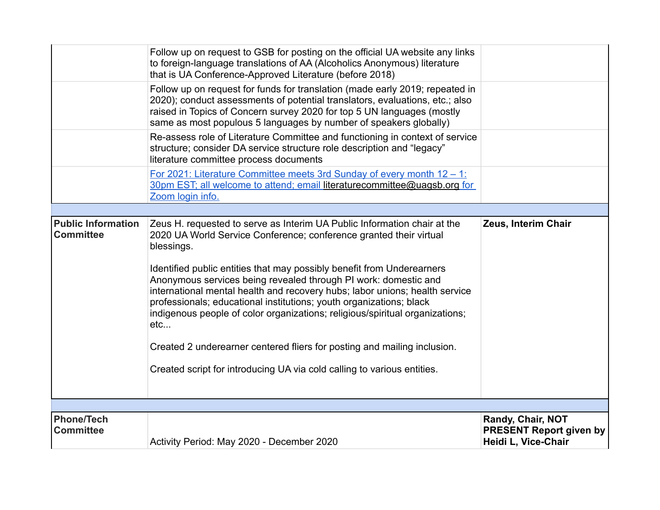|                                               | Follow up on request to GSB for posting on the official UA website any links<br>to foreign-language translations of AA (Alcoholics Anonymous) literature<br>that is UA Conference-Approved Literature (before 2018)                                                                                                                                                                                                                                                                                                                                    |                                                                            |
|-----------------------------------------------|--------------------------------------------------------------------------------------------------------------------------------------------------------------------------------------------------------------------------------------------------------------------------------------------------------------------------------------------------------------------------------------------------------------------------------------------------------------------------------------------------------------------------------------------------------|----------------------------------------------------------------------------|
|                                               | Follow up on request for funds for translation (made early 2019; repeated in<br>2020); conduct assessments of potential translators, evaluations, etc.; also<br>raised in Topics of Concern survey 2020 for top 5 UN languages (mostly<br>same as most populous 5 languages by number of speakers globally)                                                                                                                                                                                                                                            |                                                                            |
|                                               | Re-assess role of Literature Committee and functioning in context of service<br>structure; consider DA service structure role description and "legacy"<br>literature committee process documents                                                                                                                                                                                                                                                                                                                                                       |                                                                            |
|                                               | <u>For 2021: Literature Committee meets 3rd Sunday of every month <math>12 - 1</math>:</u><br>30pm EST; all welcome to attend; email literaturecommittee@uagsb.org for<br>Zoom login info.                                                                                                                                                                                                                                                                                                                                                             |                                                                            |
|                                               |                                                                                                                                                                                                                                                                                                                                                                                                                                                                                                                                                        |                                                                            |
| <b>Public Information</b><br><b>Committee</b> | Zeus H. requested to serve as Interim UA Public Information chair at the<br>2020 UA World Service Conference; conference granted their virtual<br>blessings.<br>Identified public entities that may possibly benefit from Underearners<br>Anonymous services being revealed through PI work: domestic and<br>international mental health and recovery hubs; labor unions; health service<br>professionals; educational institutions; youth organizations; black<br>indigenous people of color organizations; religious/spiritual organizations;<br>etc | Zeus, Interim Chair                                                        |
|                                               | Created 2 underearner centered fliers for posting and mailing inclusion.                                                                                                                                                                                                                                                                                                                                                                                                                                                                               |                                                                            |
|                                               | Created script for introducing UA via cold calling to various entities.                                                                                                                                                                                                                                                                                                                                                                                                                                                                                |                                                                            |
|                                               |                                                                                                                                                                                                                                                                                                                                                                                                                                                                                                                                                        |                                                                            |
|                                               |                                                                                                                                                                                                                                                                                                                                                                                                                                                                                                                                                        |                                                                            |
| <b>Phone/Tech</b><br><b>Committee</b>         | Activity Period: May 2020 - December 2020                                                                                                                                                                                                                                                                                                                                                                                                                                                                                                              | Randy, Chair, NOT<br><b>PRESENT Report given by</b><br>Heidi L, Vice-Chair |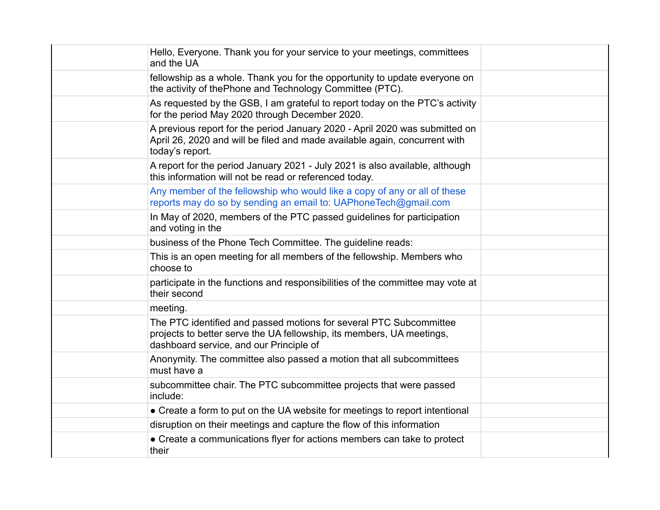| Hello, Everyone. Thank you for your service to your meetings, committees<br>and the UA                                                                                                 |  |
|----------------------------------------------------------------------------------------------------------------------------------------------------------------------------------------|--|
| fellowship as a whole. Thank you for the opportunity to update everyone on<br>the activity of thePhone and Technology Committee (PTC).                                                 |  |
| As requested by the GSB, I am grateful to report today on the PTC's activity<br>for the period May 2020 through December 2020.                                                         |  |
| A previous report for the period January 2020 - April 2020 was submitted on<br>April 26, 2020 and will be filed and made available again, concurrent with<br>today's report.           |  |
| A report for the period January 2021 - July 2021 is also available, although<br>this information will not be read or referenced today.                                                 |  |
| Any member of the fellowship who would like a copy of any or all of these<br>reports may do so by sending an email to: UAPhoneTech@gmail.com                                           |  |
| In May of 2020, members of the PTC passed guidelines for participation<br>and voting in the                                                                                            |  |
| business of the Phone Tech Committee. The guideline reads:                                                                                                                             |  |
| This is an open meeting for all members of the fellowship. Members who<br>choose to                                                                                                    |  |
| participate in the functions and responsibilities of the committee may vote at<br>their second                                                                                         |  |
| meeting.                                                                                                                                                                               |  |
| The PTC identified and passed motions for several PTC Subcommittee<br>projects to better serve the UA fellowship, its members, UA meetings,<br>dashboard service, and our Principle of |  |
| Anonymity. The committee also passed a motion that all subcommittees<br>must have a                                                                                                    |  |
| subcommittee chair. The PTC subcommittee projects that were passed<br>include:                                                                                                         |  |
| • Create a form to put on the UA website for meetings to report intentional                                                                                                            |  |
| disruption on their meetings and capture the flow of this information                                                                                                                  |  |
| • Create a communications flyer for actions members can take to protect<br>their                                                                                                       |  |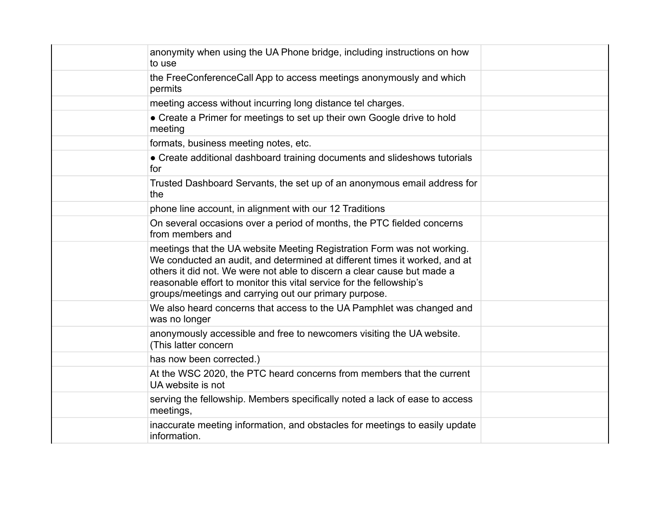| anonymity when using the UA Phone bridge, including instructions on how<br>to use                                                                                                                                                                                                                                                                                 |  |
|-------------------------------------------------------------------------------------------------------------------------------------------------------------------------------------------------------------------------------------------------------------------------------------------------------------------------------------------------------------------|--|
| the FreeConferenceCall App to access meetings anonymously and which<br>permits                                                                                                                                                                                                                                                                                    |  |
| meeting access without incurring long distance tel charges.                                                                                                                                                                                                                                                                                                       |  |
| • Create a Primer for meetings to set up their own Google drive to hold<br>meeting                                                                                                                                                                                                                                                                                |  |
| formats, business meeting notes, etc.                                                                                                                                                                                                                                                                                                                             |  |
| • Create additional dashboard training documents and slideshows tutorials<br>for                                                                                                                                                                                                                                                                                  |  |
| Trusted Dashboard Servants, the set up of an anonymous email address for<br>the                                                                                                                                                                                                                                                                                   |  |
| phone line account, in alignment with our 12 Traditions                                                                                                                                                                                                                                                                                                           |  |
| On several occasions over a period of months, the PTC fielded concerns<br>from members and                                                                                                                                                                                                                                                                        |  |
| meetings that the UA website Meeting Registration Form was not working.<br>We conducted an audit, and determined at different times it worked, and at<br>others it did not. We were not able to discern a clear cause but made a<br>reasonable effort to monitor this vital service for the fellowship's<br>groups/meetings and carrying out our primary purpose. |  |
| We also heard concerns that access to the UA Pamphlet was changed and<br>was no longer                                                                                                                                                                                                                                                                            |  |
| anonymously accessible and free to newcomers visiting the UA website.<br>(This latter concern                                                                                                                                                                                                                                                                     |  |
| has now been corrected.)                                                                                                                                                                                                                                                                                                                                          |  |
| At the WSC 2020, the PTC heard concerns from members that the current<br>UA website is not                                                                                                                                                                                                                                                                        |  |
| serving the fellowship. Members specifically noted a lack of ease to access<br>meetings,                                                                                                                                                                                                                                                                          |  |
| inaccurate meeting information, and obstacles for meetings to easily update<br>information.                                                                                                                                                                                                                                                                       |  |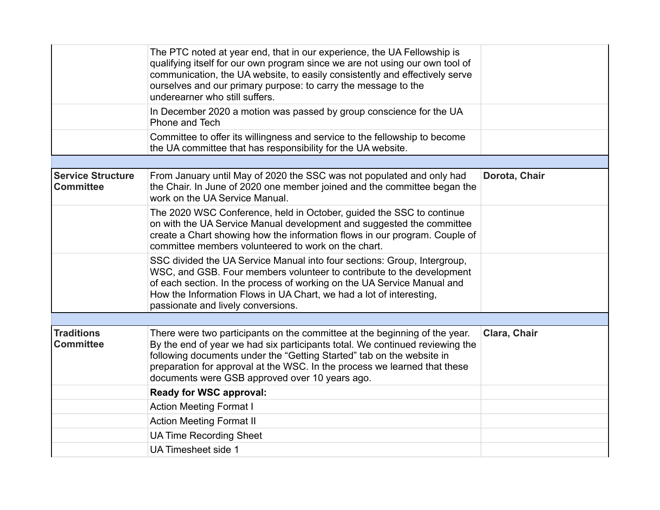|                                              | The PTC noted at year end, that in our experience, the UA Fellowship is<br>qualifying itself for our own program since we are not using our own tool of<br>communication, the UA website, to easily consistently and effectively serve<br>ourselves and our primary purpose: to carry the message to the<br>underearner who still suffers.                         |               |
|----------------------------------------------|--------------------------------------------------------------------------------------------------------------------------------------------------------------------------------------------------------------------------------------------------------------------------------------------------------------------------------------------------------------------|---------------|
|                                              | In December 2020 a motion was passed by group conscience for the UA<br>Phone and Tech                                                                                                                                                                                                                                                                              |               |
|                                              | Committee to offer its willingness and service to the fellowship to become<br>the UA committee that has responsibility for the UA website.                                                                                                                                                                                                                         |               |
|                                              |                                                                                                                                                                                                                                                                                                                                                                    |               |
| <b>Service Structure</b><br><b>Committee</b> | From January until May of 2020 the SSC was not populated and only had<br>the Chair. In June of 2020 one member joined and the committee began the<br>work on the UA Service Manual.                                                                                                                                                                                | Dorota, Chair |
|                                              | The 2020 WSC Conference, held in October, guided the SSC to continue<br>on with the UA Service Manual development and suggested the committee<br>create a Chart showing how the information flows in our program. Couple of<br>committee members volunteered to work on the chart.                                                                                 |               |
|                                              | SSC divided the UA Service Manual into four sections: Group, Intergroup,<br>WSC, and GSB. Four members volunteer to contribute to the development<br>of each section. In the process of working on the UA Service Manual and<br>How the Information Flows in UA Chart, we had a lot of interesting,<br>passionate and lively conversions.                          |               |
|                                              |                                                                                                                                                                                                                                                                                                                                                                    |               |
| <b>Traditions</b><br><b>Committee</b>        | There were two participants on the committee at the beginning of the year.<br>By the end of year we had six participants total. We continued reviewing the<br>following documents under the "Getting Started" tab on the website in<br>preparation for approval at the WSC. In the process we learned that these<br>documents were GSB approved over 10 years ago. | Clara, Chair  |
|                                              | <b>Ready for WSC approval:</b>                                                                                                                                                                                                                                                                                                                                     |               |
|                                              | <b>Action Meeting Format I</b>                                                                                                                                                                                                                                                                                                                                     |               |
|                                              | <b>Action Meeting Format II</b>                                                                                                                                                                                                                                                                                                                                    |               |
|                                              | <b>UA Time Recording Sheet</b>                                                                                                                                                                                                                                                                                                                                     |               |
|                                              | <b>UA Timesheet side 1</b>                                                                                                                                                                                                                                                                                                                                         |               |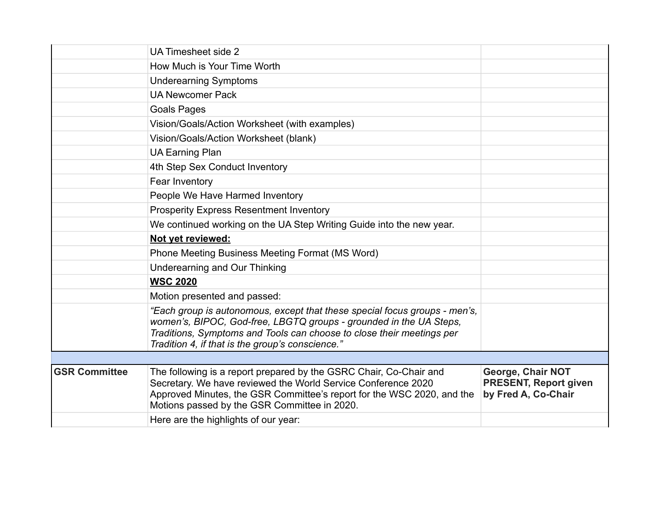|                      | UA Timesheet side 2                                                                                                                                                                                                                                                           |                                                                          |
|----------------------|-------------------------------------------------------------------------------------------------------------------------------------------------------------------------------------------------------------------------------------------------------------------------------|--------------------------------------------------------------------------|
|                      | How Much is Your Time Worth                                                                                                                                                                                                                                                   |                                                                          |
|                      | <b>Underearning Symptoms</b>                                                                                                                                                                                                                                                  |                                                                          |
|                      | <b>UA Newcomer Pack</b>                                                                                                                                                                                                                                                       |                                                                          |
|                      | <b>Goals Pages</b>                                                                                                                                                                                                                                                            |                                                                          |
|                      | Vision/Goals/Action Worksheet (with examples)                                                                                                                                                                                                                                 |                                                                          |
|                      | Vision/Goals/Action Worksheet (blank)                                                                                                                                                                                                                                         |                                                                          |
|                      | <b>UA Earning Plan</b>                                                                                                                                                                                                                                                        |                                                                          |
|                      | 4th Step Sex Conduct Inventory                                                                                                                                                                                                                                                |                                                                          |
|                      | Fear Inventory                                                                                                                                                                                                                                                                |                                                                          |
|                      | People We Have Harmed Inventory                                                                                                                                                                                                                                               |                                                                          |
|                      | <b>Prosperity Express Resentment Inventory</b>                                                                                                                                                                                                                                |                                                                          |
|                      | We continued working on the UA Step Writing Guide into the new year.                                                                                                                                                                                                          |                                                                          |
|                      | Not yet reviewed:                                                                                                                                                                                                                                                             |                                                                          |
|                      | Phone Meeting Business Meeting Format (MS Word)                                                                                                                                                                                                                               |                                                                          |
|                      | Underearning and Our Thinking                                                                                                                                                                                                                                                 |                                                                          |
|                      | <b>WSC 2020</b>                                                                                                                                                                                                                                                               |                                                                          |
|                      | Motion presented and passed:                                                                                                                                                                                                                                                  |                                                                          |
|                      | "Each group is autonomous, except that these special focus groups - men's,<br>women's, BIPOC, God-free, LBGTQ groups - grounded in the UA Steps,<br>Traditions, Symptoms and Tools can choose to close their meetings per<br>Tradition 4, if that is the group's conscience." |                                                                          |
|                      |                                                                                                                                                                                                                                                                               |                                                                          |
| <b>GSR Committee</b> | The following is a report prepared by the GSRC Chair, Co-Chair and<br>Secretary. We have reviewed the World Service Conference 2020<br>Approved Minutes, the GSR Committee's report for the WSC 2020, and the<br>Motions passed by the GSR Committee in 2020.                 | George, Chair NOT<br><b>PRESENT, Report given</b><br>by Fred A, Co-Chair |
|                      | Here are the highlights of our year:                                                                                                                                                                                                                                          |                                                                          |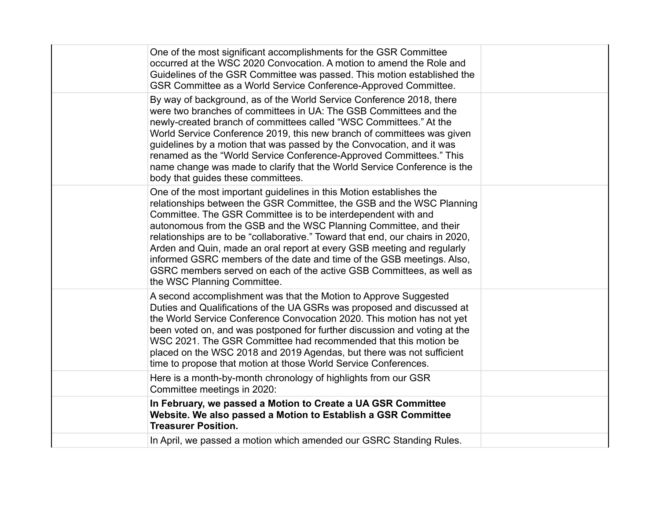| In April, we passed a motion which amended our GSRC Standing Rules.                                                                                                                                                                                                                                                                                                                                                                                                                                                                                                                                                           |  |
|-------------------------------------------------------------------------------------------------------------------------------------------------------------------------------------------------------------------------------------------------------------------------------------------------------------------------------------------------------------------------------------------------------------------------------------------------------------------------------------------------------------------------------------------------------------------------------------------------------------------------------|--|
| In February, we passed a Motion to Create a UA GSR Committee<br>Website. We also passed a Motion to Establish a GSR Committee<br><b>Treasurer Position.</b>                                                                                                                                                                                                                                                                                                                                                                                                                                                                   |  |
| Here is a month-by-month chronology of highlights from our GSR<br>Committee meetings in 2020:                                                                                                                                                                                                                                                                                                                                                                                                                                                                                                                                 |  |
| A second accomplishment was that the Motion to Approve Suggested<br>Duties and Qualifications of the UA GSRs was proposed and discussed at<br>the World Service Conference Convocation 2020. This motion has not yet<br>been voted on, and was postponed for further discussion and voting at the<br>WSC 2021. The GSR Committee had recommended that this motion be<br>placed on the WSC 2018 and 2019 Agendas, but there was not sufficient<br>time to propose that motion at those World Service Conferences.                                                                                                              |  |
| One of the most important guidelines in this Motion establishes the<br>relationships between the GSR Committee, the GSB and the WSC Planning<br>Committee. The GSR Committee is to be interdependent with and<br>autonomous from the GSB and the WSC Planning Committee, and their<br>relationships are to be "collaborative." Toward that end, our chairs in 2020,<br>Arden and Quin, made an oral report at every GSB meeting and regularly<br>informed GSRC members of the date and time of the GSB meetings. Also,<br>GSRC members served on each of the active GSB Committees, as well as<br>the WSC Planning Committee. |  |
| By way of background, as of the World Service Conference 2018, there<br>were two branches of committees in UA: The GSB Committees and the<br>newly-created branch of committees called "WSC Committees." At the<br>World Service Conference 2019, this new branch of committees was given<br>guidelines by a motion that was passed by the Convocation, and it was<br>renamed as the "World Service Conference-Approved Committees." This<br>name change was made to clarify that the World Service Conference is the<br>body that guides these committees.                                                                   |  |
| One of the most significant accomplishments for the GSR Committee<br>occurred at the WSC 2020 Convocation. A motion to amend the Role and<br>Guidelines of the GSR Committee was passed. This motion established the<br>GSR Committee as a World Service Conference-Approved Committee.                                                                                                                                                                                                                                                                                                                                       |  |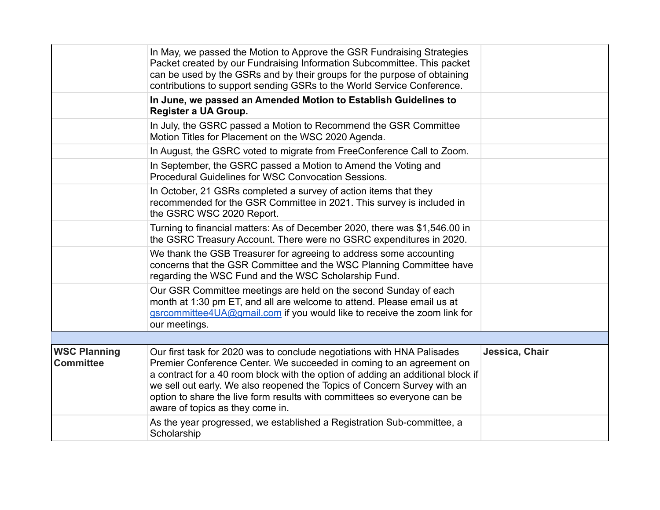|                                         | In May, we passed the Motion to Approve the GSR Fundraising Strategies<br>Packet created by our Fundraising Information Subcommittee. This packet<br>can be used by the GSRs and by their groups for the purpose of obtaining<br>contributions to support sending GSRs to the World Service Conference.                                                                                                                        |                |
|-----------------------------------------|--------------------------------------------------------------------------------------------------------------------------------------------------------------------------------------------------------------------------------------------------------------------------------------------------------------------------------------------------------------------------------------------------------------------------------|----------------|
|                                         | In June, we passed an Amended Motion to Establish Guidelines to<br>Register a UA Group.                                                                                                                                                                                                                                                                                                                                        |                |
|                                         | In July, the GSRC passed a Motion to Recommend the GSR Committee<br>Motion Titles for Placement on the WSC 2020 Agenda.                                                                                                                                                                                                                                                                                                        |                |
|                                         | In August, the GSRC voted to migrate from FreeConference Call to Zoom.                                                                                                                                                                                                                                                                                                                                                         |                |
|                                         | In September, the GSRC passed a Motion to Amend the Voting and<br>Procedural Guidelines for WSC Convocation Sessions.                                                                                                                                                                                                                                                                                                          |                |
|                                         | In October, 21 GSRs completed a survey of action items that they<br>recommended for the GSR Committee in 2021. This survey is included in<br>the GSRC WSC 2020 Report.                                                                                                                                                                                                                                                         |                |
|                                         | Turning to financial matters: As of December 2020, there was \$1,546.00 in<br>the GSRC Treasury Account. There were no GSRC expenditures in 2020.                                                                                                                                                                                                                                                                              |                |
|                                         | We thank the GSB Treasurer for agreeing to address some accounting<br>concerns that the GSR Committee and the WSC Planning Committee have<br>regarding the WSC Fund and the WSC Scholarship Fund.                                                                                                                                                                                                                              |                |
|                                         | Our GSR Committee meetings are held on the second Sunday of each<br>month at 1:30 pm ET, and all are welcome to attend. Please email us at<br>gsrcommittee4UA@gmail.com if you would like to receive the zoom link for<br>our meetings.                                                                                                                                                                                        |                |
|                                         |                                                                                                                                                                                                                                                                                                                                                                                                                                |                |
| <b>WSC Planning</b><br><b>Committee</b> | Our first task for 2020 was to conclude negotiations with HNA Palisades<br>Premier Conference Center. We succeeded in coming to an agreement on<br>a contract for a 40 room block with the option of adding an additional block if<br>we sell out early. We also reopened the Topics of Concern Survey with an<br>option to share the live form results with committees so everyone can be<br>aware of topics as they come in. | Jessica, Chair |
|                                         | As the year progressed, we established a Registration Sub-committee, a<br>Scholarship                                                                                                                                                                                                                                                                                                                                          |                |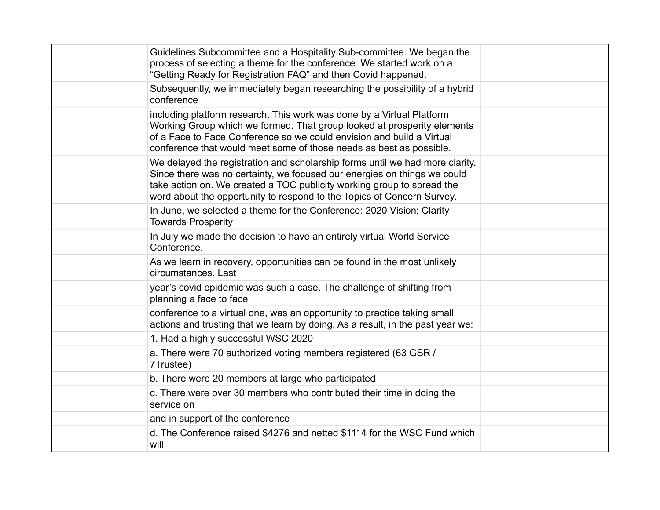| Guidelines Subcommittee and a Hospitality Sub-committee. We began the<br>process of selecting a theme for the conference. We started work on a<br>"Getting Ready for Registration FAQ" and then Covid happened.                                                                                              |  |
|--------------------------------------------------------------------------------------------------------------------------------------------------------------------------------------------------------------------------------------------------------------------------------------------------------------|--|
| Subsequently, we immediately began researching the possibility of a hybrid<br>conference                                                                                                                                                                                                                     |  |
| including platform research. This work was done by a Virtual Platform<br>Working Group which we formed. That group looked at prosperity elements<br>of a Face to Face Conference so we could envision and build a Virtual<br>conference that would meet some of those needs as best as possible.             |  |
| We delayed the registration and scholarship forms until we had more clarity.<br>Since there was no certainty, we focused our energies on things we could<br>take action on. We created a TOC publicity working group to spread the<br>word about the opportunity to respond to the Topics of Concern Survey. |  |
| In June, we selected a theme for the Conference: 2020 Vision; Clarity<br><b>Towards Prosperity</b>                                                                                                                                                                                                           |  |
| In July we made the decision to have an entirely virtual World Service<br>Conference.                                                                                                                                                                                                                        |  |
| As we learn in recovery, opportunities can be found in the most unlikely<br>circumstances. Last                                                                                                                                                                                                              |  |
| year's covid epidemic was such a case. The challenge of shifting from<br>planning a face to face                                                                                                                                                                                                             |  |
| conference to a virtual one, was an opportunity to practice taking small<br>actions and trusting that we learn by doing. As a result, in the past year we:                                                                                                                                                   |  |
| 1. Had a highly successful WSC 2020                                                                                                                                                                                                                                                                          |  |
| a. There were 70 authorized voting members registered (63 GSR /<br>7Trustee)                                                                                                                                                                                                                                 |  |
| b. There were 20 members at large who participated                                                                                                                                                                                                                                                           |  |
| c. There were over 30 members who contributed their time in doing the<br>service on                                                                                                                                                                                                                          |  |
| and in support of the conference                                                                                                                                                                                                                                                                             |  |
| d. The Conference raised \$4276 and netted \$1114 for the WSC Fund which<br>will                                                                                                                                                                                                                             |  |
|                                                                                                                                                                                                                                                                                                              |  |